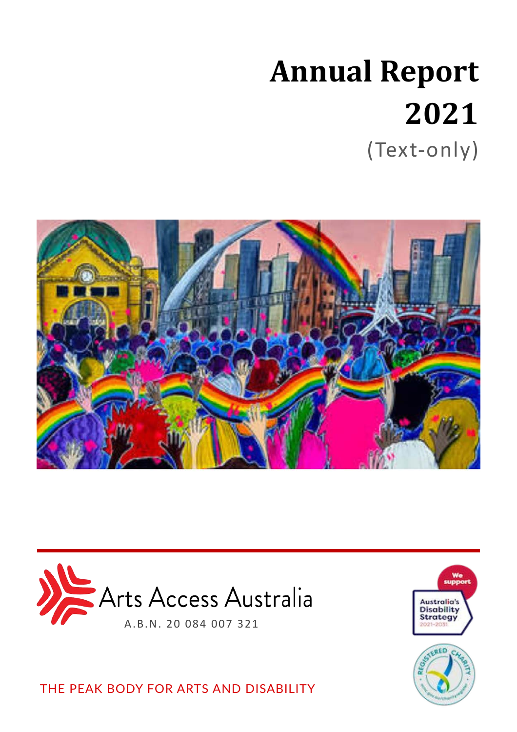# **Annual Report 2021** (Text-only)







THE PEAK BODY FOR ARTS AND DISABILITY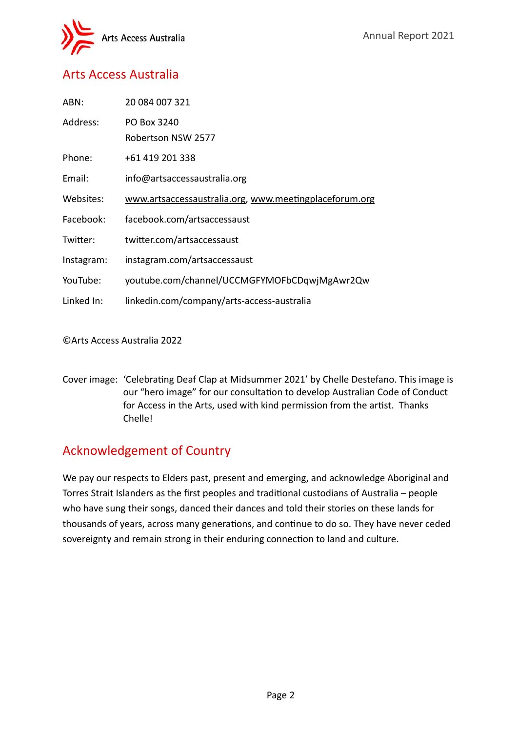

## Arts Access Australia

| ABN:       | 20 084 007 321                                         |
|------------|--------------------------------------------------------|
| Address:   | PO Box 3240                                            |
|            | Robertson NSW 2577                                     |
| Phone:     | +61 419 201 338                                        |
| Email:     | info@artsaccessaustralia.org                           |
| Websites:  | www.artsaccessaustralia.org, www.meetingplaceforum.org |
| Facebook:  | facebook.com/artsaccessaust                            |
| Twitter:   | twitter.com/artsaccessaust                             |
| Instagram: | instagram.com/artsaccessaust                           |
| YouTube:   | youtube.com/channel/UCCMGFYMOFbCDqwjMgAwr2Qw           |
| Linked In: | linkedin.com/company/arts-access-australia             |
|            |                                                        |

©Arts Access Australia 2022

Cover image: 'Celebrating Deaf Clap at Midsummer 2021' by Chelle Destefano. This image is our "hero image" for our consultation to develop Australian Code of Conduct for Access in the Arts, used with kind permission from the artist. Thanks Chelle!

## Acknowledgement of Country

We pay our respects to Elders past, present and emerging, and acknowledge Aboriginal and Torres Strait Islanders as the first peoples and traditional custodians of Australia – people who have sung their songs, danced their dances and told their stories on these lands for thousands of years, across many generations, and continue to do so. They have never ceded sovereignty and remain strong in their enduring connection to land and culture.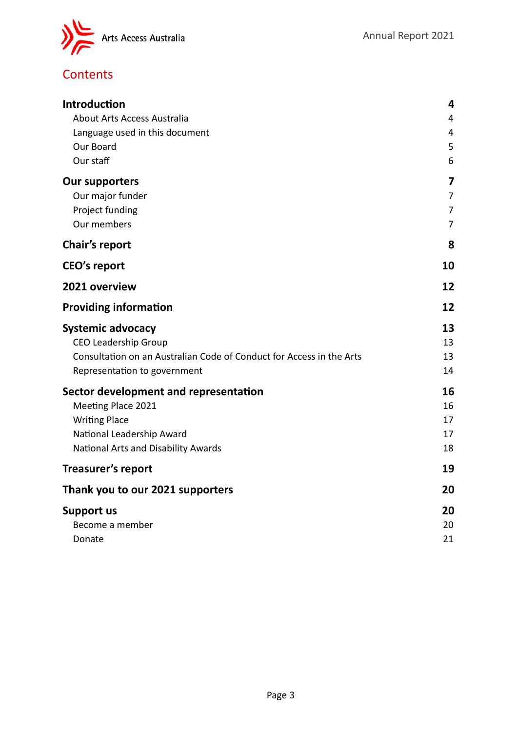

# **Contents**

| <b>Introduction</b>                                                  |                         |
|----------------------------------------------------------------------|-------------------------|
| About Arts Access Australia                                          |                         |
| Language used in this document                                       |                         |
| Our Board                                                            | 5                       |
| Our staff                                                            | 6                       |
| <b>Our supporters</b>                                                | $\overline{\mathbf{z}}$ |
| Our major funder                                                     | 7                       |
| Project funding                                                      | $\overline{7}$          |
| Our members                                                          | 7                       |
| Chair's report                                                       | 8                       |
| <b>CEO's report</b>                                                  | 10                      |
| 2021 overview                                                        | 12                      |
| <b>Providing information</b>                                         | 12                      |
| <b>Systemic advocacy</b>                                             | 13                      |
| <b>CEO Leadership Group</b>                                          | 13                      |
| Consultation on an Australian Code of Conduct for Access in the Arts | 13                      |
| Representation to government                                         | 14                      |
| Sector development and representation                                | 16                      |
| Meeting Place 2021                                                   | 16                      |
| <b>Writing Place</b>                                                 | 17                      |
| National Leadership Award                                            | 17                      |
| National Arts and Disability Awards                                  | 18                      |
| Treasurer's report                                                   | 19                      |
| Thank you to our 2021 supporters                                     |                         |
| <b>Support us</b>                                                    |                         |
| Become a member                                                      | 20                      |
| Donate                                                               | 21                      |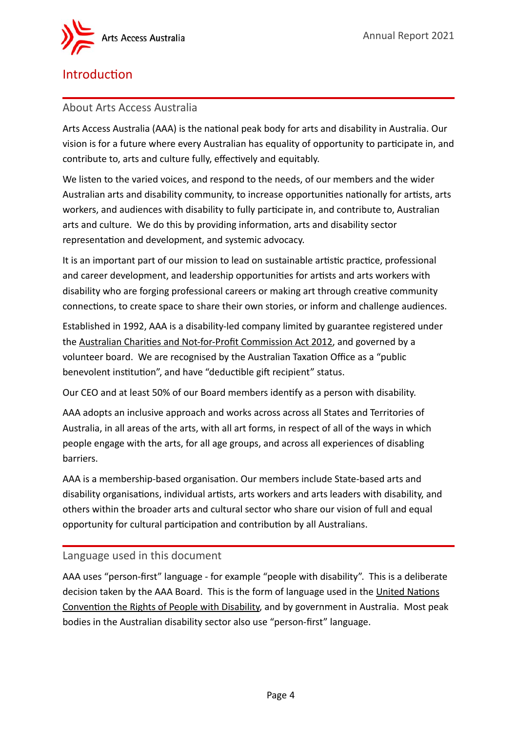

## <span id="page-3-0"></span>Introduction

#### <span id="page-3-1"></span>About Arts Access Australia

Arts Access Australia (AAA) is the national peak body for arts and disability in Australia. Our vision is for a future where every Australian has equality of opportunity to participate in, and contribute to, arts and culture fully, effectively and equitably.

We listen to the varied voices, and respond to the needs, of our members and the wider Australian arts and disability community, to increase opportunities nationally for artists, arts workers, and audiences with disability to fully participate in, and contribute to, Australian arts and culture. We do this by providing information, arts and disability sector representation and development, and systemic advocacy.

It is an important part of our mission to lead on sustainable artistic practice, professional and career development, and leadership opportunities for artists and arts workers with disability who are forging professional careers or making art through creative community connections, to create space to share their own stories, or inform and challenge audiences.

Established in 1992, AAA is a disability-led company limited by guarantee registered under the Australian Charities and Not-for-Profit Commission Act 2012, and governed by a volunteer board. We are recognised by the Australian Taxation Office as a "public benevolent institution", and have "deductible gift recipient" status.

Our CEO and at least 50% of our Board members identify as a person with disability.

AAA adopts an inclusive approach and works across across all States and Territories of Australia, in all areas of the arts, with all art forms, in respect of all of the ways in which people engage with the arts, for all age groups, and across all experiences of disabling barriers.

AAA is a membership-based organisation. Our members include State-based arts and disability organisations, individual artists, arts workers and arts leaders with disability, and others within the broader arts and cultural sector who share our vision of full and equal opportunity for cultural participation and contribution by all Australians.

#### <span id="page-3-2"></span>Language used in this document

AAA uses "person-first" language - for example "people with disability". This is a deliberate decision taken by the AAA Board. This is the form of language used in the United Nations Convention the Rights of People with Disability, and by government in Australia. Most peak bodies in the Australian disability sector also use "person-first" language.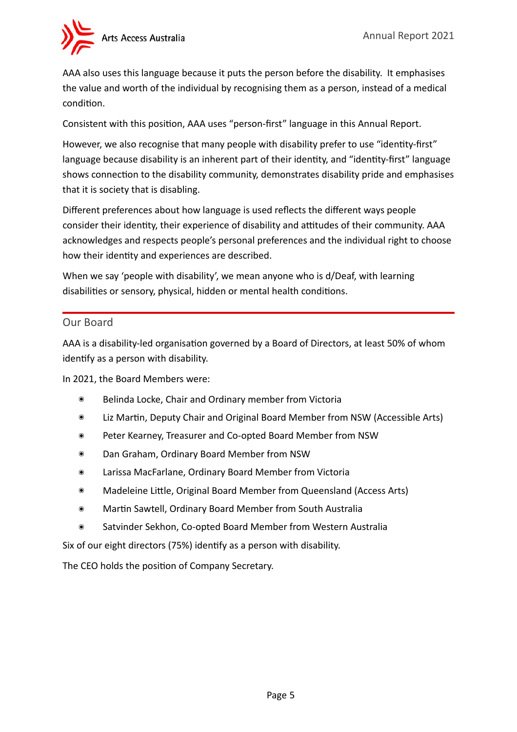AAA also uses this language because it puts the person before the disability. It emphasises the value and worth of the individual by recognising them as a person, instead of a medical condition.

Consistent with this position, AAA uses "person-first" language in this Annual Report.

However, we also recognise that many people with disability prefer to use "identity-first" language because disability is an inherent part of their identity, and "identity-first" language shows connection to the disability community, demonstrates disability pride and emphasises that it is society that is disabling.

Different preferences about how language is used reflects the different ways people consider their identity, their experience of disability and attitudes of their community. AAA acknowledges and respects people's personal preferences and the individual right to choose how their identity and experiences are described.

When we say 'people with disability', we mean anyone who is d/Deaf, with learning disabilities or sensory, physical, hidden or mental health conditions.

#### <span id="page-4-0"></span>Our Board

AAA is a disability-led organisation governed by a Board of Directors, at least 50% of whom identify as a person with disability.

In 2021, the Board Members were:

- ๏ Belinda Locke, Chair and Ordinary member from Victoria
- ๏ Liz Martin, Deputy Chair and Original Board Member from NSW (Accessible Arts)
- ๏ Peter Kearney, Treasurer and Co-opted Board Member from NSW
- ๏ Dan Graham, Ordinary Board Member from NSW
- ๏ Larissa MacFarlane, Ordinary Board Member from Victoria
- ๏ Madeleine Little, Original Board Member from Queensland (Access Arts)
- ๏ Martin Sawtell, Ordinary Board Member from South Australia
- ๏ Satvinder Sekhon, Co-opted Board Member from Western Australia

Six of our eight directors (75%) identify as a person with disability.

The CEO holds the position of Company Secretary.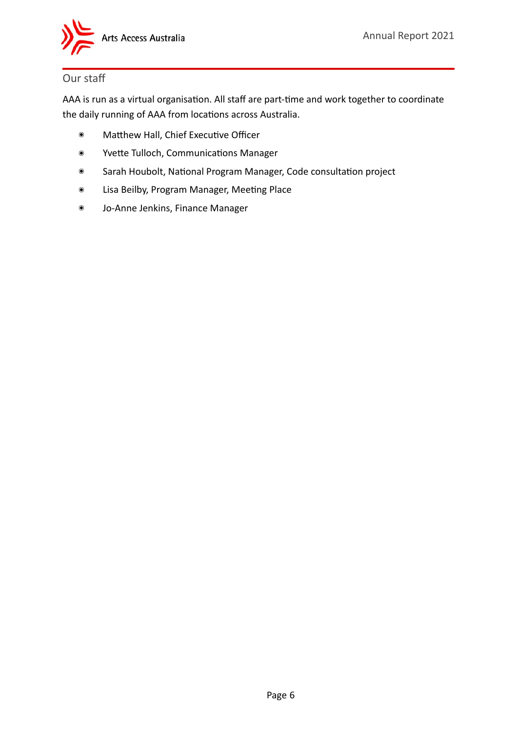

## <span id="page-5-0"></span>Our staff

AAA is run as a virtual organisation. All staff are part-time and work together to coordinate the daily running of AAA from locations across Australia.

- ๏ Matthew Hall, Chief Executive Officer
- ๏ Yvette Tulloch, Communications Manager
- ๏ Sarah Houbolt, National Program Manager, Code consultation project
- ๏ Lisa Beilby, Program Manager, Meeting Place
- ๏ Jo-Anne Jenkins, Finance Manager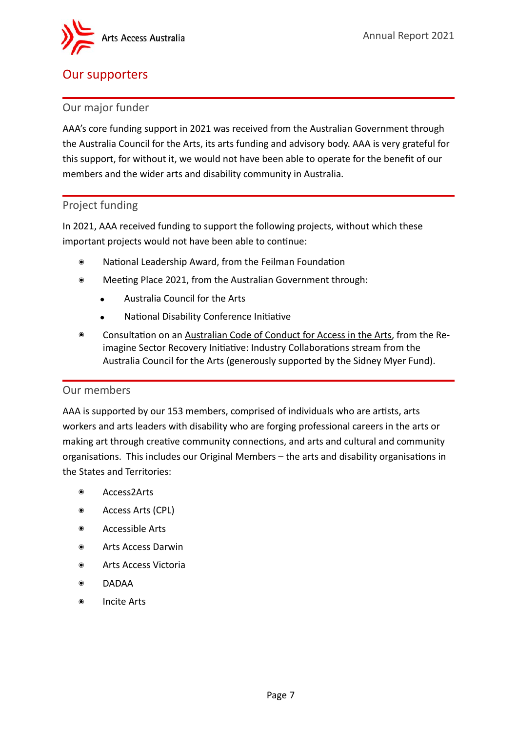## <span id="page-6-0"></span>Our supporters

#### <span id="page-6-1"></span>Our major funder

AAA's core funding support in 2021 was received from the Australian Government through the Australia Council for the Arts, its arts funding and advisory body. AAA is very grateful for this support, for without it, we would not have been able to operate for the benefit of our members and the wider arts and disability community in Australia.

#### <span id="page-6-2"></span>Project funding

In 2021, AAA received funding to support the following projects, without which these important projects would not have been able to continue:

- ๏ National Leadership Award, from the Feilman Foundation
- ๏ Meeting Place 2021, from the Australian Government through:
	- Australia Council for the Arts
	- National Disability Conference Initiative
- ๏ Consultation on an Australian Code of Conduct for Access in the Arts, from the Reimagine Sector Recovery Initiative: Industry Collaborations stream from the Australia Council for the Arts (generously supported by the Sidney Myer Fund).

#### <span id="page-6-3"></span>Our members

AAA is supported by our 153 members, comprised of individuals who are artists, arts workers and arts leaders with disability who are forging professional careers in the arts or making art through creative community connections, and arts and cultural and community organisations. This includes our Original Members – the arts and disability organisations in the States and Territories:

- ๏ Access2Arts
- ๏ Access Arts (CPL)
- ๏ Accessible Arts
- ๏ Arts Access Darwin
- ๏ Arts Access Victoria
- ๏ DADAA
- ๏ Incite Arts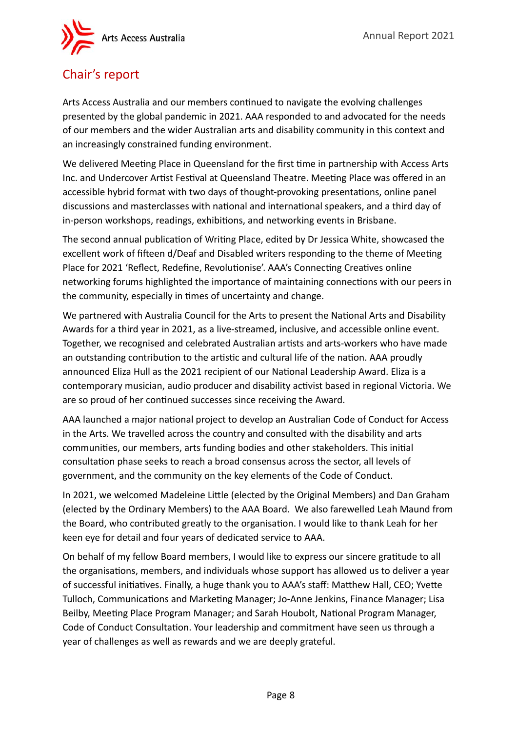

# <span id="page-7-0"></span>Chair's report

Arts Access Australia and our members continued to navigate the evolving challenges presented by the global pandemic in 2021. AAA responded to and advocated for the needs of our members and the wider Australian arts and disability community in this context and an increasingly constrained funding environment.

We delivered Meeting Place in Queensland for the first time in partnership with Access Arts Inc. and Undercover Artist Festival at Queensland Theatre. Meeting Place was offered in an accessible hybrid format with two days of thought-provoking presentations, online panel discussions and masterclasses with national and international speakers, and a third day of in-person workshops, readings, exhibitions, and networking events in Brisbane.

The second annual publication of Writing Place, edited by Dr Jessica White, showcased the excellent work of fifteen d/Deaf and Disabled writers responding to the theme of Meeting Place for 2021 'Reflect, Redefine, Revolutionise'. AAA's Connecting Creatives online networking forums highlighted the importance of maintaining connections with our peers in the community, especially in times of uncertainty and change.

We partnered with Australia Council for the Arts to present the National Arts and Disability Awards for a third year in 2021, as a live-streamed, inclusive, and accessible online event. Together, we recognised and celebrated Australian artists and arts-workers who have made an outstanding contribution to the artistic and cultural life of the nation. AAA proudly announced Eliza Hull as the 2021 recipient of our National Leadership Award. Eliza is a contemporary musician, audio producer and disability activist based in regional Victoria. We are so proud of her continued successes since receiving the Award.

AAA launched a major national project to develop an Australian Code of Conduct for Access in the Arts. We travelled across the country and consulted with the disability and arts communities, our members, arts funding bodies and other stakeholders. This initial consultation phase seeks to reach a broad consensus across the sector, all levels of government, and the community on the key elements of the Code of Conduct.

In 2021, we welcomed Madeleine Little (elected by the Original Members) and Dan Graham (elected by the Ordinary Members) to the AAA Board. We also farewelled Leah Maund from the Board, who contributed greatly to the organisation. I would like to thank Leah for her keen eye for detail and four years of dedicated service to AAA.

On behalf of my fellow Board members, I would like to express our sincere gratitude to all the organisations, members, and individuals whose support has allowed us to deliver a year of successful initiatives. Finally, a huge thank you to AAA's staff: Matthew Hall, CEO; Yvette Tulloch, Communications and Marketing Manager; Jo-Anne Jenkins, Finance Manager; Lisa Beilby, Meeting Place Program Manager; and Sarah Houbolt, National Program Manager, Code of Conduct Consultation. Your leadership and commitment have seen us through a year of challenges as well as rewards and we are deeply grateful.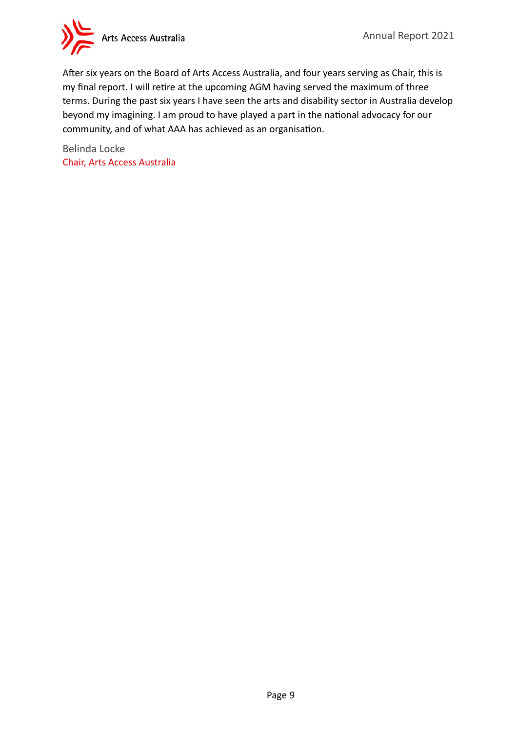

After six years on the Board of Arts Access Australia, and four years serving as Chair, this is my final report. I will retire at the upcoming AGM having served the maximum of three terms. During the past six years I have seen the arts and disability sector in Australia develop beyond my imagining. I am proud to have played a part in the national advocacy for our community, and of what AAA has achieved as an organisation.

Belinda Locke Chair, Arts Access Australia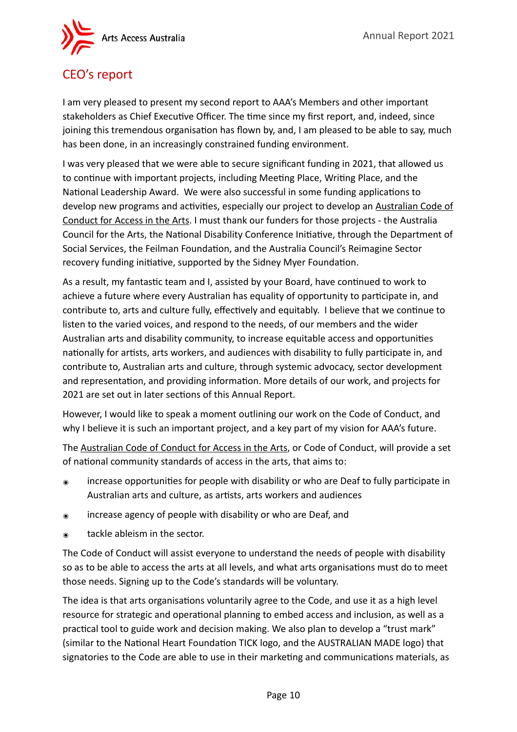

## <span id="page-9-0"></span>CEO's report

I am very pleased to present my second report to AAA's Members and other important stakeholders as Chief Executive Officer. The time since my first report, and, indeed, since joining this tremendous organisation has flown by, and, I am pleased to be able to say, much has been done, in an increasingly constrained funding environment.

I was very pleased that we were able to secure significant funding in 2021, that allowed us to continue with important projects, including Meeting Place, Writing Place, and the National Leadership Award. We were also successful in some funding applications to develop new programs and activities, especially our project to develop an Australian Code of Conduct for Access in the Arts. I must thank our funders for those projects - the Australia Council for the Arts, the National Disability Conference Initiative, through the Department of Social Services, the Feilman Foundation, and the Australia Council's Reimagine Sector recovery funding initiative, supported by the Sidney Myer Foundation.

As a result, my fantastic team and I, assisted by your Board, have continued to work to achieve a future where every Australian has equality of opportunity to participate in, and contribute to, arts and culture fully, effectively and equitably. I believe that we continue to listen to the varied voices, and respond to the needs, of our members and the wider Australian arts and disability community, to increase equitable access and opportunities nationally for artists, arts workers, and audiences with disability to fully participate in, and contribute to, Australian arts and culture, through systemic advocacy, sector development and representation, and providing information. More details of our work, and projects for 2021 are set out in later sections of this Annual Report.

However, I would like to speak a moment outlining our work on the Code of Conduct, and why I believe it is such an important project, and a key part of my vision for AAA's future.

The Australian Code of Conduct for Access in the Arts, or Code of Conduct, will provide a set of national community standards of access in the arts, that aims to:

- ๏ increase opportunities for people with disability or who are Deaf to fully participate in Australian arts and culture, as artists, arts workers and audiences
- ๏ increase agency of people with disability or who are Deaf, and
- ๏ tackle ableism in the sector.

The Code of Conduct will assist everyone to understand the needs of people with disability so as to be able to access the arts at all levels, and what arts organisations must do to meet those needs. Signing up to the Code's standards will be voluntary.

The idea is that arts organisations voluntarily agree to the Code, and use it as a high level resource for strategic and operational planning to embed access and inclusion, as well as a practical tool to guide work and decision making. We also plan to develop a "trust mark" (similar to the National Heart Foundation TICK logo, and the AUSTRALIAN MADE logo) that signatories to the Code are able to use in their marketing and communications materials, as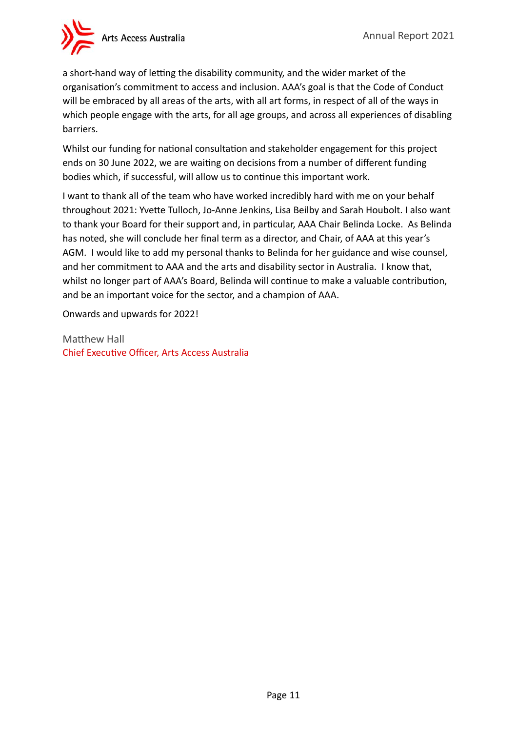

a short-hand way of letting the disability community, and the wider market of the organisation's commitment to access and inclusion. AAA's goal is that the Code of Conduct will be embraced by all areas of the arts, with all art forms, in respect of all of the ways in which people engage with the arts, for all age groups, and across all experiences of disabling barriers.

Whilst our funding for national consultation and stakeholder engagement for this project ends on 30 June 2022, we are waiting on decisions from a number of different funding bodies which, if successful, will allow us to continue this important work.

I want to thank all of the team who have worked incredibly hard with me on your behalf throughout 2021: Yvette Tulloch, Jo-Anne Jenkins, Lisa Beilby and Sarah Houbolt. I also want to thank your Board for their support and, in particular, AAA Chair Belinda Locke. As Belinda has noted, she will conclude her final term as a director, and Chair, of AAA at this year's AGM. I would like to add my personal thanks to Belinda for her guidance and wise counsel, and her commitment to AAA and the arts and disability sector in Australia. I know that, whilst no longer part of AAA's Board, Belinda will continue to make a valuable contribution, and be an important voice for the sector, and a champion of AAA.

Onwards and upwards for 2022!

Matthew Hall Chief Executive Officer, Arts Access Australia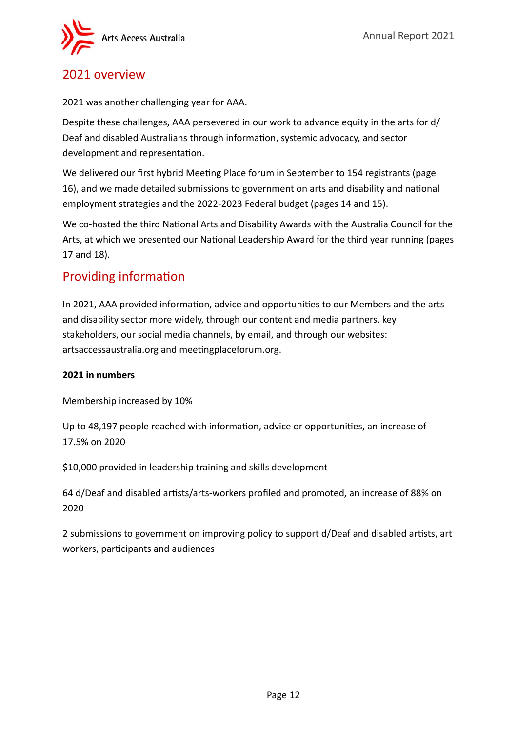

## <span id="page-11-0"></span>2021 overview

2021 was another challenging year for AAA.

Despite these challenges, AAA persevered in our work to advance equity in the arts for d/ Deaf and disabled Australians through information, systemic advocacy, and sector development and representation.

We delivered our first hybrid Meeting Place forum in September to 154 registrants (page 16), and we made detailed submissions to government on arts and disability and national employment strategies and the 2022-2023 Federal budget (pages 14 and 15).

We co-hosted the third National Arts and Disability Awards with the Australia Council for the Arts, at which we presented our National Leadership Award for the third year running (pages 17 and 18).

## <span id="page-11-1"></span>Providing information

In 2021, AAA provided information, advice and opportunities to our Members and the arts and disability sector more widely, through our content and media partners, key stakeholders, our social media channels, by email, and through our websites: artsaccessaustralia.org and meetingplaceforum.org.

#### **2021 in numbers**

Membership increased by 10%

Up to 48,197 people reached with information, advice or opportunities, an increase of 17.5% on 2020

\$10,000 provided in leadership training and skills development

64 d/Deaf and disabled artists/arts-workers profiled and promoted, an increase of 88% on 2020

2 submissions to government on improving policy to support d/Deaf and disabled artists, art workers, participants and audiences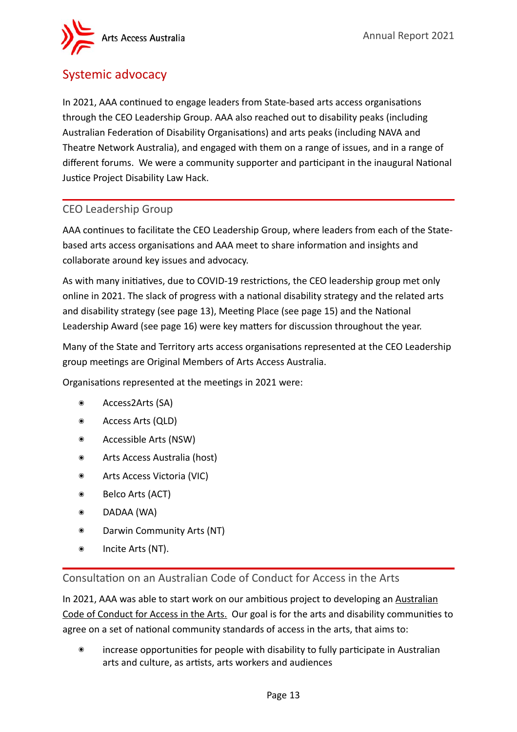

## <span id="page-12-0"></span>Systemic advocacy

In 2021, AAA continued to engage leaders from State-based arts access organisations through the CEO Leadership Group. AAA also reached out to disability peaks (including Australian Federation of Disability Organisations) and arts peaks (including NAVA and Theatre Network Australia), and engaged with them on a range of issues, and in a range of different forums. We were a community supporter and participant in the inaugural National Justice Project Disability Law Hack.

### <span id="page-12-1"></span>CEO Leadership Group

AAA continues to facilitate the CEO Leadership Group, where leaders from each of the Statebased arts access organisations and AAA meet to share information and insights and collaborate around key issues and advocacy.

As with many initiatives, due to COVID-19 restrictions, the CEO leadership group met only online in 2021. The slack of progress with a national disability strategy and the related arts and disability strategy (see page 13), Meeting Place (see page 15) and the National Leadership Award (see page 16) were key matters for discussion throughout the year.

Many of the State and Territory arts access organisations represented at the CEO Leadership group meetings are Original Members of Arts Access Australia.

Organisations represented at the meetings in 2021 were:

- ๏ Access2Arts (SA)
- ๏ Access Arts (QLD)
- ๏ Accessible Arts (NSW)
- ๏ Arts Access Australia (host)
- ๏ Arts Access Victoria (VIC)
- ๏ Belco Arts (ACT)
- ๏ DADAA (WA)
- ๏ Darwin Community Arts (NT)
- ๏ Incite Arts (NT).

<span id="page-12-2"></span>Consultation on an Australian Code of Conduct for Access in the Arts

In 2021, AAA was able to start work on our ambitious project to developing an Australian Code of Conduct for Access in the Arts. Our goal is for the arts and disability communities to agree on a set of national community standards of access in the arts, that aims to:

๏ increase opportunities for people with disability to fully participate in Australian arts and culture, as artists, arts workers and audiences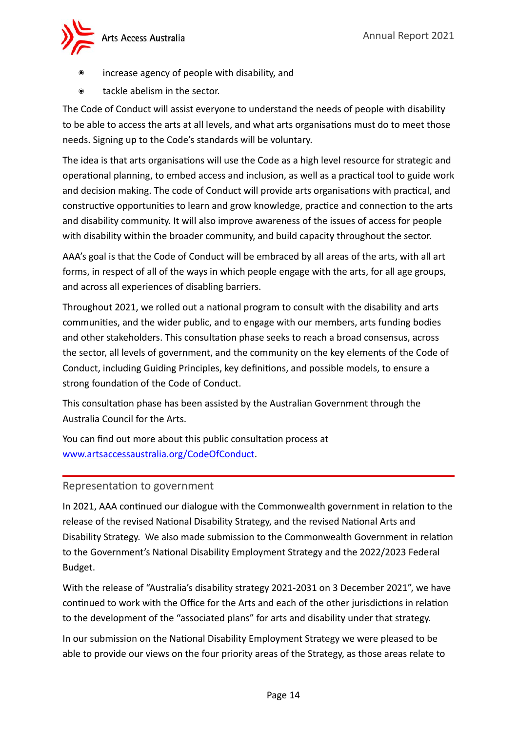

- increase agency of people with disability, and
- tackle abelism in the sector.

The Code of Conduct will assist everyone to understand the needs of people with disability to be able to access the arts at all levels, and what arts organisations must do to meet those needs. Signing up to the Code's standards will be voluntary.

The idea is that arts organisations will use the Code as a high level resource for strategic and operational planning, to embed access and inclusion, as well as a practical tool to guide work and decision making. The code of Conduct will provide arts organisations with practical, and constructive opportunities to learn and grow knowledge, practice and connection to the arts and disability community. It will also improve awareness of the issues of access for people with disability within the broader community, and build capacity throughout the sector.

AAA's goal is that the Code of Conduct will be embraced by all areas of the arts, with all art forms, in respect of all of the ways in which people engage with the arts, for all age groups, and across all experiences of disabling barriers.

Throughout 2021, we rolled out a national program to consult with the disability and arts communities, and the wider public, and to engage with our members, arts funding bodies and other stakeholders. This consultation phase seeks to reach a broad consensus, across the sector, all levels of government, and the community on the key elements of the Code of Conduct, including Guiding Principles, key definitions, and possible models, to ensure a strong foundation of the Code of Conduct.

This consultation phase has been assisted by the Australian Government through the Australia Council for the Arts.

You can find out more about this public consultation process at [www.artsaccessaustralia.org/CodeOfConduct.](http://www.artsaccessaustralia.org/CodeOfConduct)

## <span id="page-13-0"></span>Representation to government

In 2021, AAA continued our dialogue with the Commonwealth government in relation to the release of the revised National Disability Strategy, and the revised National Arts and Disability Strategy. We also made submission to the Commonwealth Government in relation to the Government's National Disability Employment Strategy and the 2022/2023 Federal Budget.

With the release of "Australia's disability strategy 2021-2031 on 3 December 2021", we have continued to work with the Office for the Arts and each of the other jurisdictions in relation to the development of the "associated plans" for arts and disability under that strategy.

In our submission on the National Disability Employment Strategy we were pleased to be able to provide our views on the four priority areas of the Strategy, as those areas relate to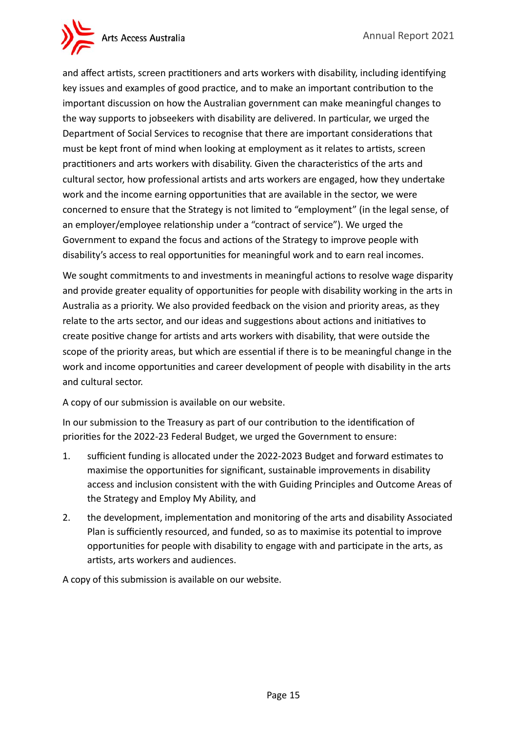

and affect artists, screen practitioners and arts workers with disability, including identifying key issues and examples of good practice, and to make an important contribution to the important discussion on how the Australian government can make meaningful changes to the way supports to jobseekers with disability are delivered. In particular, we urged the Department of Social Services to recognise that there are important considerations that must be kept front of mind when looking at employment as it relates to artists, screen practitioners and arts workers with disability. Given the characteristics of the arts and cultural sector, how professional artists and arts workers are engaged, how they undertake work and the income earning opportunities that are available in the sector, we were concerned to ensure that the Strategy is not limited to "employment" (in the legal sense, of an employer/employee relationship under a "contract of service"). We urged the Government to expand the focus and actions of the Strategy to improve people with disability's access to real opportunities for meaningful work and to earn real incomes.

We sought commitments to and investments in meaningful actions to resolve wage disparity and provide greater equality of opportunities for people with disability working in the arts in Australia as a priority. We also provided feedback on the vision and priority areas, as they relate to the arts sector, and our ideas and suggestions about actions and initiatives to create positive change for artists and arts workers with disability, that were outside the scope of the priority areas, but which are essential if there is to be meaningful change in the work and income opportunities and career development of people with disability in the arts and cultural sector.

A copy of our submission is available on our website.

In our submission to the Treasury as part of our contribution to the identification of priorities for the 2022-23 Federal Budget, we urged the Government to ensure:

- 1. sufficient funding is allocated under the 2022-2023 Budget and forward estimates to maximise the opportunities for significant, sustainable improvements in disability access and inclusion consistent with the with Guiding Principles and Outcome Areas of the Strategy and Employ My Ability, and
- 2. the development, implementation and monitoring of the arts and disability Associated Plan is sufficiently resourced, and funded, so as to maximise its potential to improve opportunities for people with disability to engage with and participate in the arts, as artists, arts workers and audiences.

A copy of this submission is available on our website.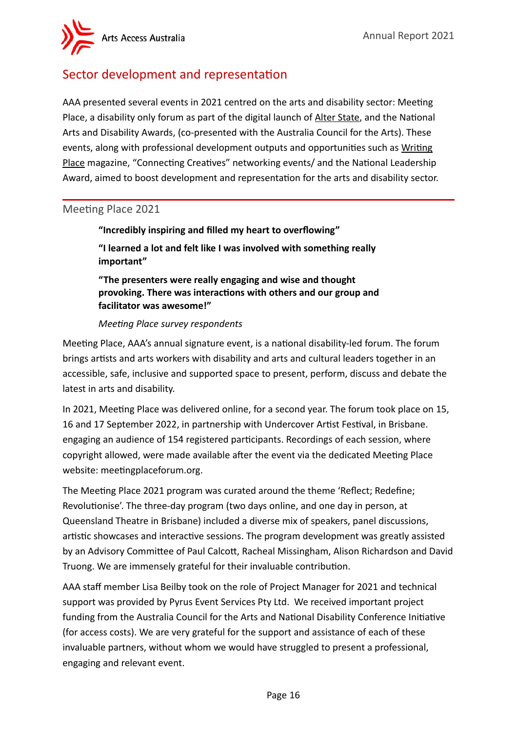Arts Access Australia

# <span id="page-15-0"></span>Sector development and representation

AAA presented several events in 2021 centred on the arts and disability sector: Meeting Place, a disability only forum as part of the digital launch of Alter State, and the National Arts and Disability Awards, (co-presented with the Australia Council for the Arts). These events, along with professional development outputs and opportunities such as Writing Place magazine, "Connecting Creatives" networking events/ and the National Leadership Award, aimed to boost development and representation for the arts and disability sector.

#### <span id="page-15-1"></span>Meeting Place 2021

**"Incredibly inspiring and filled my heart to overflowing" "I learned a lot and felt like I was involved with something really important"**

**"The presenters were really engaging and wise and thought provoking. There was interactions with others and our group and facilitator was awesome!"**

#### *Meeting Place survey respondents*

Meeting Place, AAA's annual signature event, is a national disability-led forum. The forum brings artists and arts workers with disability and arts and cultural leaders together in an accessible, safe, inclusive and supported space to present, perform, discuss and debate the latest in arts and disability.

In 2021, Meeting Place was delivered online, for a second year. The forum took place on 15, 16 and 17 September 2022, in partnership with Undercover Artist Festival, in Brisbane. engaging an audience of 154 registered participants. Recordings of each session, where copyright allowed, were made available after the event via the dedicated Meeting Place website: meetingplaceforum.org.

The Meeting Place 2021 program was curated around the theme 'Reflect; Redefine; Revolutionise'. The three-day program (two days online, and one day in person, at Queensland Theatre in Brisbane) included a diverse mix of speakers, panel discussions, artistic showcases and interactive sessions. The program development was greatly assisted by an Advisory Committee of Paul Calcott, Racheal Missingham, Alison Richardson and David Truong. We are immensely grateful for their invaluable contribution.

AAA staff member Lisa Beilby took on the role of Project Manager for 2021 and technical support was provided by Pyrus Event Services Pty Ltd. We received important project funding from the Australia Council for the Arts and National Disability Conference Initiative (for access costs). We are very grateful for the support and assistance of each of these invaluable partners, without whom we would have struggled to present a professional, engaging and relevant event.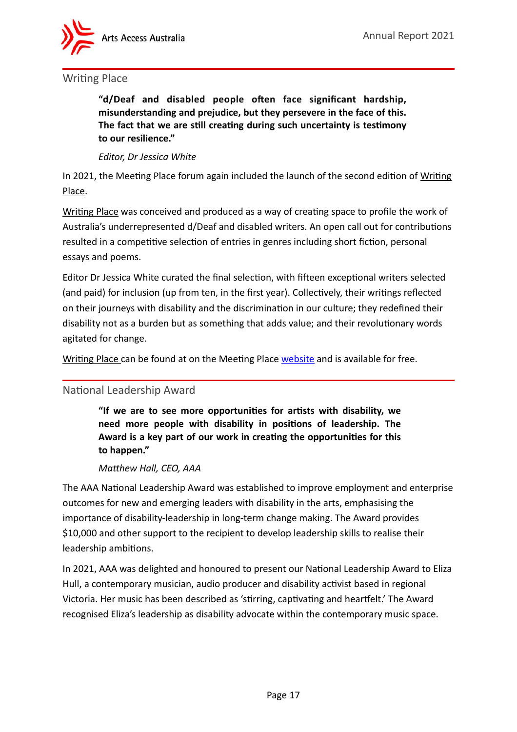

#### <span id="page-16-0"></span>Writing Place

**"d/Deaf and disabled people often face significant hardship, misunderstanding and prejudice, but they persevere in the face of this. The fact that we are still creating during such uncertainty is testimony to our resilience."** 

#### *Editor, Dr Jessica White*

In 2021, the Meeting Place forum again included the launch of the second edition of Writing Place.

Writing Place was conceived and produced as a way of creating space to profile the work of Australia's underrepresented d/Deaf and disabled writers. An open call out for contributions resulted in a competitive selection of entries in genres including short fiction, personal essays and poems.

Editor Dr Jessica White curated the final selection, with fifteen exceptional writers selected (and paid) for inclusion (up from ten, in the first year). Collectively, their writings reflected on their journeys with disability and the discrimination in our culture; they redefined their disability not as a burden but as something that adds value; and their revolutionary words agitated for change.

Writing Place can be found at on the Meeting Place [website](http://www.meetingplaceforum.org) and is available for free.

#### <span id="page-16-1"></span>National Leadership Award

**"If we are to see more opportunities for artists with disability, we need more people with disability in positions of leadership. The Award is a key part of our work in creating the opportunities for this to happen."**

#### *Matthew Hall, CEO, AAA*

The AAA National Leadership Award was established to improve employment and enterprise outcomes for new and emerging leaders with disability in the arts, emphasising the importance of disability-leadership in long-term change making. The Award provides \$10,000 and other support to the recipient to develop leadership skills to realise their leadership ambitions.

In 2021, AAA was delighted and honoured to present our National Leadership Award to Eliza Hull, a contemporary musician, audio producer and disability activist based in regional Victoria. Her music has been described as 'stirring, captivating and heartfelt.' The Award recognised Eliza's leadership as disability advocate within the contemporary music space.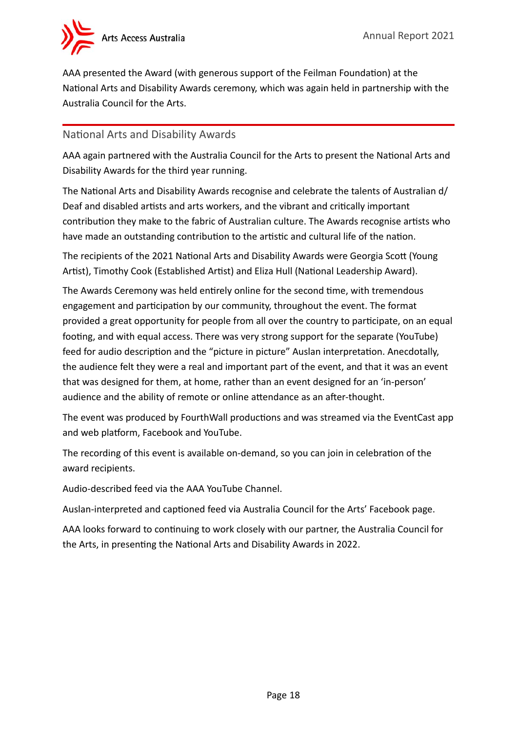

AAA presented the Award (with generous support of the Feilman Foundation) at the National Arts and Disability Awards ceremony, which was again held in partnership with the Australia Council for the Arts.

#### <span id="page-17-0"></span>National Arts and Disability Awards

AAA again partnered with the Australia Council for the Arts to present the National Arts and Disability Awards for the third year running.

The National Arts and Disability Awards recognise and celebrate the talents of Australian d/ Deaf and disabled artists and arts workers, and the vibrant and critically important contribution they make to the fabric of Australian culture. The Awards recognise artists who have made an outstanding contribution to the artistic and cultural life of the nation.

The recipients of the 2021 National Arts and Disability Awards were Georgia Scott (Young Artist), Timothy Cook (Established Artist) and Eliza Hull (National Leadership Award).

The Awards Ceremony was held entirely online for the second time, with tremendous engagement and participation by our community, throughout the event. The format provided a great opportunity for people from all over the country to participate, on an equal footing, and with equal access. There was very strong support for the separate (YouTube) feed for audio description and the "picture in picture" Auslan interpretation. Anecdotally, the audience felt they were a real and important part of the event, and that it was an event that was designed for them, at home, rather than an event designed for an 'in-person' audience and the ability of remote or online attendance as an after-thought.

The event was produced by FourthWall productions and was streamed via the EventCast app and web platform, Facebook and YouTube.

The recording of this event is available on-demand, so you can join in celebration of the award recipients.

Audio-described feed via the AAA YouTube Channel.

Auslan-interpreted and captioned feed via Australia Council for the Arts' Facebook page.

AAA looks forward to continuing to work closely with our partner, the Australia Council for the Arts, in presenting the National Arts and Disability Awards in 2022.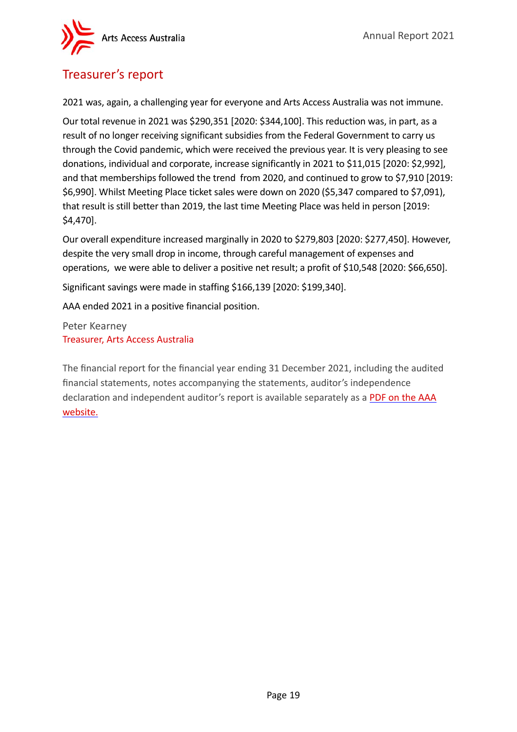

## <span id="page-18-0"></span>Treasurer's report

2021 was, again, a challenging year for everyone and Arts Access Australia was not immune.

Our total revenue in 2021 was \$290,351 [2020: \$344,100]. This reduction was, in part, as a result of no longer receiving significant subsidies from the Federal Government to carry us through the Covid pandemic, which were received the previous year. It is very pleasing to see donations, individual and corporate, increase significantly in 2021 to \$11,015 [2020: \$2,992], and that memberships followed the trend from 2020, and continued to grow to \$7,910 [2019: \$6,990]. Whilst Meeting Place ticket sales were down on 2020 (\$5,347 compared to \$7,091), that result is still better than 2019, the last time Meeting Place was held in person [2019: \$4,470].

Our overall expenditure increased marginally in 2020 to \$279,803 [2020: \$277,450]. However, despite the very small drop in income, through careful management of expenses and operations, we were able to deliver a positive net result; a profit of \$10,548 [2020: \$66,650].

Significant savings were made in staffing \$166,139 [2020: \$199,340].

AAA ended 2021 in a positive financial position.

Peter Kearney Treasurer, Arts Access Australia

The financial report for the financial year ending 31 December 2021, including the audited financial statements, notes accompanying the statements, auditor's independence declaration and independent auditor's report is available separately as a [PDF on the AAA](https://bit.ly/3uADBMW)  [website](https://bit.ly/3uADBMW).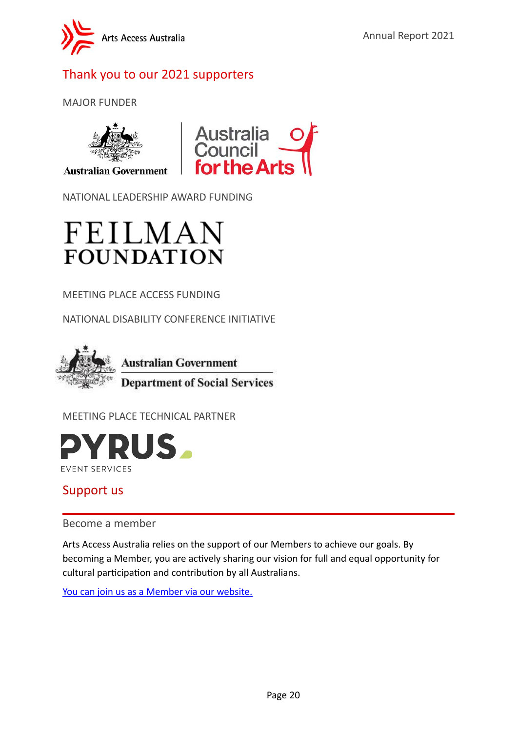

# <span id="page-19-0"></span>Thank you to our 2021 supporters

MAJOR FUNDER



**Australian Government** 



NATIONAL LEADERSHIP AWARD FUNDING



MEETING PLACE ACCESS FUNDING

NATIONAL DISABILITY CONFERENCE INITIATIVE



MEETING PLACE TECHNICAL PARTNER



## <span id="page-19-1"></span>Support us

<span id="page-19-2"></span>Become a member

Arts Access Australia relies on the support of our Members to achieve our goals. By becoming a Member, you are actively sharing our vision for full and equal opportunity for cultural participation and contribution by all Australians.

[You](https://artsaccessaustralia.org/membership/professional-membership/) can [join us as a Member via our website.](https://artsaccessaustralia.org/membership/professional-membership/)